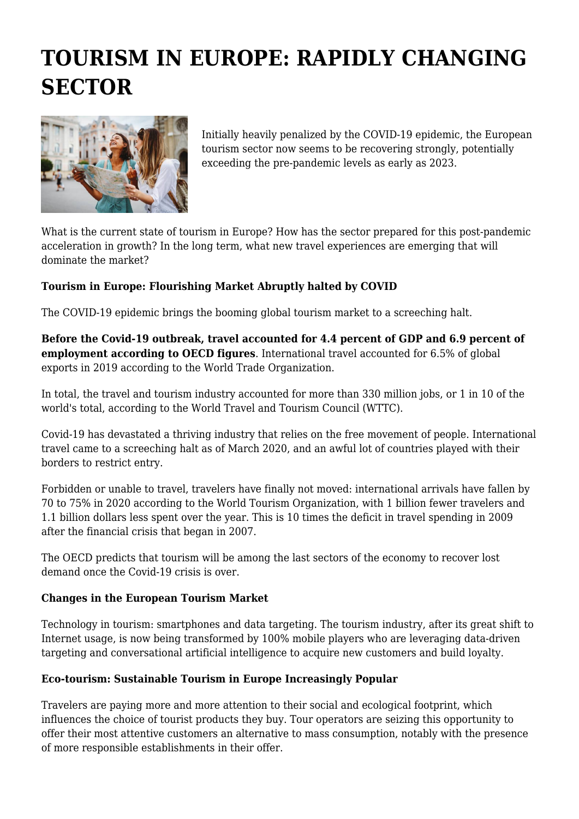# **TOURISM IN EUROPE: RAPIDLY CHANGING SECTOR**



Initially heavily penalized by the COVID-19 epidemic, the European tourism sector now seems to be recovering strongly, potentially exceeding the pre-pandemic levels as early as 2023.

What is the current state of tourism in Europe? How has the sector prepared for this post-pandemic acceleration in growth? In the long term, what new travel experiences are emerging that will dominate the market?

### **Tourism in Europe: Flourishing Market Abruptly halted by COVID**

The COVID-19 epidemic brings the booming global tourism market to a screeching halt.

**Before the Covid-19 outbreak, travel accounted for 4.4 percent of GDP and 6.9 percent of employment according to OECD figures**. International travel accounted for 6.5% of global exports in 2019 according to the World Trade Organization.

In total, the travel and tourism industry accounted for more than 330 million jobs, or 1 in 10 of the world's total, according to the World Travel and Tourism Council (WTTC).

Covid-19 has devastated a thriving industry that relies on the free movement of people. International travel came to a screeching halt as of March 2020, and an awful lot of countries played with their borders to restrict entry.

Forbidden or unable to travel, travelers have finally not moved: international arrivals have fallen by 70 to 75% in 2020 according to the World Tourism Organization, with 1 billion fewer travelers and 1.1 billion dollars less spent over the year. This is 10 times the deficit in travel spending in 2009 after the financial crisis that began in 2007.

The OECD predicts that tourism will be among the last sectors of the economy to recover lost demand once the Covid-19 crisis is over.

### **Changes in the European Tourism Market**

Technology in tourism: smartphones and data targeting. The tourism industry, after its great shift to Internet usage, is now being transformed by 100% mobile players who are leveraging data-driven targeting and conversational artificial intelligence to acquire new customers and build loyalty.

### **Eco-tourism: Sustainable Tourism in Europe Increasingly Popular**

Travelers are paying more and more attention to their social and ecological footprint, which influences the choice of tourist products they buy. Tour operators are seizing this opportunity to offer their most attentive customers an alternative to mass consumption, notably with the presence of more responsible establishments in their offer.